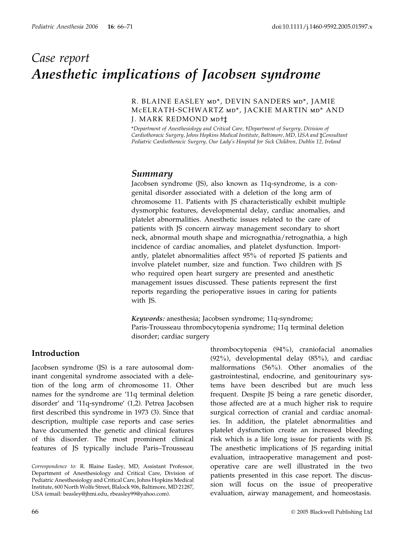# Case report Anesthetic implications of Jacobsen syndrome

# R. BLAINE EASLEY MD\*, DEVIN SANDERS MD\*, JAMIE MCELRATH-SCHWARTZ MD\*, JACKIE MARTIN MD\* AND J. MARK REDMOND MD<sup>+</sup>

\*Department of Anesthesiology and Critical Care, †Department of Surgery, Division of Cardiothoracic Surgery, Johns Hopkins Medical Institute, Baltimore, MD, USA and ‡Consultant Pediatric Cardiothoracic Surgery, Our Lady's Hospital for Sick Children, Dublin 12, Ireland

# Summary

Jacobsen syndrome (JS), also known as 11q-syndrome, is a congenital disorder associated with a deletion of the long arm of chromosome 11. Patients with JS characteristically exhibit multiple dysmorphic features, developmental delay, cardiac anomalies, and platelet abnormalities. Anesthetic issues related to the care of patients with JS concern airway management secondary to short neck, abnormal mouth shape and micrognathia/retrognathia, a high incidence of cardiac anomalies, and platelet dysfunction. Importantly, platelet abnormalities affect 95% of reported JS patients and involve platelet number, size and function. Two children with JS who required open heart surgery are presented and anesthetic management issues discussed. These patients represent the first reports regarding the perioperative issues in caring for patients with JS.

Keywords: anesthesia; Jacobsen syndrome; 11q-syndrome; Paris-Trousseau thrombocytopenia syndrome; 11q terminal deletion disorder; cardiac surgery

# Introduction

Jacobsen syndrome (JS) is a rare autosomal dominant congenital syndrome associated with a deletion of the long arm of chromosome 11. Other names for the syndrome are '11q terminal deletion disorder' and '11q-syndrome' (1,2). Petrea Jacobsen first described this syndrome in 1973 (3). Since that description, multiple case reports and case series have documented the genetic and clinical features of this disorder. The most prominent clinical features of JS typically include Paris–Trousseau thrombocytopenia (94%), craniofacial anomalies (92%), developmental delay (85%), and cardiac malformations (56%). Other anomalies of the gastrointestinal, endocrine, and genitourinary systems have been described but are much less frequent. Despite JS being a rare genetic disorder, those affected are at a much higher risk to require surgical correction of cranial and cardiac anomalies. In addition, the platelet abnormalities and platelet dysfunction create an increased bleeding risk which is a life long issue for patients with JS. The anesthetic implications of JS regarding initial evaluation, intraoperative management and postoperative care are well illustrated in the two patients presented in this case report. The discussion will focus on the issue of preoperative evaluation, airway management, and homeostasis.

Correspondence to: R. Blaine Easley, MD, Assistant Professor, Department of Anesthesiology and Critical Care, Division of Pediatric Anesthesiology and Critical Care, Johns Hopkins Medical Institute, 600 North Wolfe Street, Blalock 906, Baltimore, MD 21287, USA (email: beasley@jhmi.edu, rbeasley99@yahoo.com).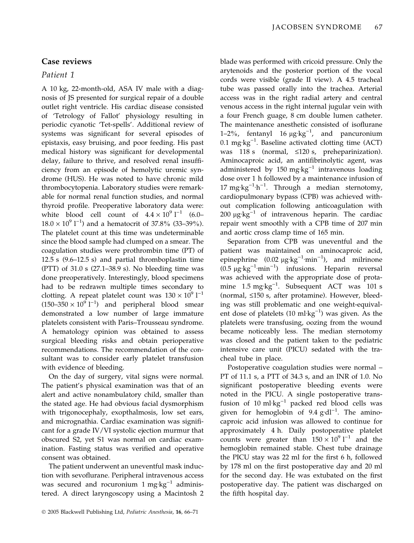# Case reviews

# Patient 1

A 10 kg, 22-month-old, ASA IV male with a diagnosis of JS presented for surgical repair of a double outlet right ventricle. His cardiac disease consisted of 'Tetrology of Fallot' physiology resulting in periodic cyanotic 'Tet-spells'. Additional review of systems was significant for several episodes of epistaxis, easy bruising, and poor feeding. His past medical history was significant for developmental delay, failure to thrive, and resolved renal insufficiency from an episode of hemolytic uremic syndrome (HUS). He was noted to have chronic mild thrombocytopenia. Laboratory studies were remarkable for normal renal function studies, and normal thyroid profile. Preoperative laboratory data were: white blood cell count of  $4.4 \times 10^9$  l<sup>-1</sup> (6.0–  $18.0 \times 10^{9}$  l<sup>-1</sup>) and a hematocrit of 37.8% (33-39%). The platelet count at this time was undeterminable since the blood sample had clumped on a smear. The coagulation studies were prothrombin time (PT) of 12.5 s (9.6–12.5 s) and partial thromboplastin time (PTT) of 31.0 s (27.1–38.9 s). No bleeding time was done preoperatively. Interestingly, blood specimens had to be redrawn multiple times secondary to clotting. A repeat platelet count was  $130 \times 10^9$  l<sup>-1</sup>  $(150-350\times10^{9} \text{ l}^{-1})$  and peripheral blood smear demonstrated a low number of large immature platelets consistent with Paris–Trousseau syndrome. A hematology opinion was obtained to assess surgical bleeding risks and obtain perioperative recommendations. The recommendation of the consultant was to consider early platelet transfusion with evidence of bleeding.

On the day of surgery, vital signs were normal. The patient's physical examination was that of an alert and active nonambulatory child, smaller than the stated age. He had obvious facial dysmorphism with trigonocephaly, exopthalmosis, low set ears, and micrognathia. Cardiac examination was significant for a grade IV/VI systolic ejection murmur that obscured S2, yet S1 was normal on cardiac examination. Fasting status was verified and operative consent was obtained.

The patient underwent an uneventful mask induction with sevoflurane. Peripheral intravenous access was secured and rocuronium 1 mg·kg<sup>-1</sup> administered. A direct laryngoscopy using a Macintosh 2 blade was performed with cricoid pressure. Only the arytenoids and the posterior portion of the vocal cords were visible (grade II view). A 4.5 tracheal tube was passed orally into the trachea. Arterial access was in the right radial artery and central venous access in the right internal jugular vein with a four French guage, 8 cm double lumen catheter. The maintenance anesthetic consisted of isoflurane 1–2%, fentanyl 16  $\mu$ g·kg<sup>-1</sup>, and pancuronium 0.1 mg·kg $^{-1}$ . Baseline activated clotting time (ACT) was  $118 \text{ s}$  (normal,  $\leq 120 \text{ s}$ , preheparinization). Aminocaproic acid, an antifibrinolytic agent, was administered by 150 mg·kg<sup>-1</sup> intravenous loading dose over 1 h followed by a maintenance infusion of 17 mg·kg<sup>-1</sup>·h<sup>-1</sup>. Through a median sternotomy, cardiopulmonary bypass (CPB) was achieved without complication following anticoagulation with 200  $\mu$ g·kg<sup>-1</sup> of intravenous heparin. The cardiac repair went smoothly with a CPB time of 207 min and aortic cross clamp time of 165 min.

Separation from CPB was uneventful and the patient was maintained on aminocaproic acid, epinephrine  $(0.02 \ \mu\text{g/kg}^{-1} \cdot \text{min}^{-1})$ , and milrinone  $(0.5 \ \mu\text{g/kg}^{-1} \cdot \text{min}^{-1})$  infusions. Heparin reversal was achieved with the appropriate dose of protamine  $1.5 \text{ mg} \cdot \text{kg}^{-1}$ . Subsequent ACT was 101 s (normal,  $\leq 150$  s, after protamine). However, bleeding was still problematic and one weight-equivalent dose of platelets  $(10 \text{ ml·kg}^{-1})$  was given. As the platelets were transfusing, oozing from the wound became noticeably less. The median sternotomy was closed and the patient taken to the pediatric intensive care unit (PICU) sedated with the tracheal tube in place.

Postoperative coagulation studies were normal – PT of 11.1 s, a PTT of 34.3 s, and an INR of 1.0. No significant postoperative bleeding events were noted in the PICU. A single postoperative transfusion of  $10 \text{ ml·kg}^{-1}$  packed red blood cells was given for hemoglobin of  $9.4$  g·dl<sup>-1</sup>. The aminocaproic acid infusion was allowed to continue for approximately 4 h. Daily postoperative platelet counts were greater than  $150 \times 10^9$  l<sup>-1</sup> and the hemoglobin remained stable. Chest tube drainage the PICU stay was 22 ml for the first 6 h, followed by 178 ml on the first postoperative day and 20 ml for the second day. He was extubated on the first postoperative day. The patient was discharged on the fifth hospital day.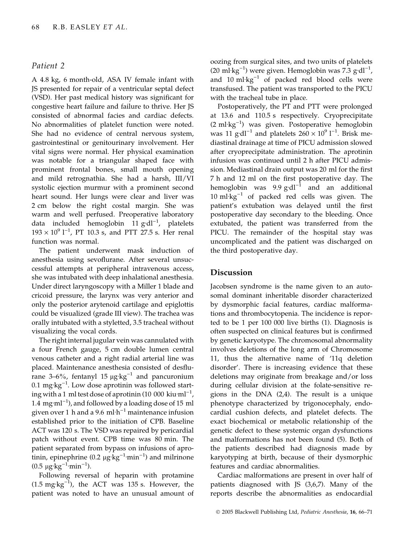### Patient 2

A 4.8 kg, 6 month-old, ASA IV female infant with JS presented for repair of a ventricular septal defect (VSD). Her past medical history was significant for congestive heart failure and failure to thrive. Her JS consisted of abnormal facies and cardiac defects. No abnormalities of platelet function were noted. She had no evidence of central nervous system, gastrointestinal or genitourinary involvement. Her vital signs were normal. Her physical examination was notable for a triangular shaped face with prominent frontal bones, small mouth opening and mild retrognathia. She had a harsh, III/VI systolic ejection murmur with a prominent second heart sound. Her lungs were clear and liver was 2 cm below the right costal margin. She was warm and well perfused. Preoperative laboratory data included hemoglobin  $11$  g·dl<sup>-1</sup>, platelets  $193 \times 10^{9}$  l<sup>-1</sup>, PT 10.3 s, and PTT 27.5 s. Her renal function was normal.

The patient underwent mask induction of anesthesia using sevoflurane. After several unsuccessful attempts at peripheral intravenous access, she was intubated with deep inhalational anesthesia. Under direct laryngoscopy with a Miller 1 blade and cricoid pressure, the larynx was very anterior and only the posterior arytenoid cartilage and epiglottis could be visualized (grade III view). The trachea was orally intubated with a styletted, 3.5 tracheal without visualizing the vocal cords.

The right internal jugular vein was cannulated with a four French gauge, 5 cm double lumen central venous catheter and a right radial arterial line was placed. Maintenance anesthesia consisted of desflurane  $3-6\%$ , fentanyl 15  $\mu$ g·kg<sup>-1</sup> and pancuronium  $0.1 \text{ mg} \cdot \text{kg}^{-1}$ . Low dose aprotinin was followed starting with a 1 ml test dose of aprotinin (10 000 kiu·ml<sup>-1</sup>, 1.4  $mg$ ·ml<sup>-1</sup>), and followed by a loading dose of 15 ml given over 1 h and a 9.6 ml $\cdot$ h<sup>-1</sup> maintenance infusion established prior to the initiation of CPB. Baseline ACT was 120 s. The VSD was repaired by pericardial patch without event. CPB time was 80 min. The patient separated from bypass on infusions of aprotinin, epinephrine (0.2  $\mu$ g·kg<sup>-1</sup>·min<sup>-1</sup>) and milrinone  $(0.5 \ \mu \text{g} \cdot \text{kg}^{-1} \cdot \text{min}^{-1}).$ 

Following reversal of heparin with protamine  $(1.5 \text{ mg} \cdot \text{kg}^{-1})$ , the ACT was 135 s. However, the patient was noted to have an unusual amount of oozing from surgical sites, and two units of platelets (20 ml·kg<sup>-1</sup>) were given. Hemoglobin was  $7.\overline{3}$  g·dl<sup>-1</sup>, and 10 ml·kg $^{-1}$  of packed red blood cells were transfused. The patient was transported to the PICU with the tracheal tube in place.

Postoperatively, the PT and PTT were prolonged at 13.6 and 110.5 s respectively. Cryoprecipitate (2 ml·kg<sup>-1</sup>) was given. Postoperative hemoglobin was 11 g·dl<sup>-1</sup> and platelets  $260 \times 10^9$  l<sup>-1</sup>. Brisk mediastinal drainage at time of PICU admission slowed after cryoprecipitate administration. The aprotinin infusion was continued until 2 h after PICU admission. Mediastinal drain output was 20 ml for the first 7 h and 12 ml on the first postoperative day. The hemoglobin was  $9.9$  g·dl<sup>-1</sup> and an additional 10 ml·kg $^{-1}$  of packed red cells was given. The patient's extubation was delayed until the first postoperative day secondary to the bleeding. Once extubated, the patient was transferred from the PICU. The remainder of the hospital stay was uncomplicated and the patient was discharged on the third postoperative day.

#### Discussion

Jacobsen syndrome is the name given to an autosomal dominant inheritable disorder characterized by dysmorphic facial features, cardiac malformations and thrombocytopenia. The incidence is reported to be 1 per 100 000 live births (1). Diagnosis is often suspected on clinical features but is confirmed by genetic karyotype. The chromosomal abnormality involves deletions of the long arm of Chromosome 11, thus the alternative name of '11q deletion disorder'. There is increasing evidence that these deletions may originate from breakage and/or loss during cellular division at the folate-sensitive regions in the DNA (2,4). The result is a unique phenotype characterized by trigonocephaly, endocardial cushion defects, and platelet defects. The exact biochemical or metabolic relationship of the genetic defect to these systemic organ dysfunctions and malformations has not been found (5). Both of the patients described had diagnosis made by karyotyping at birth, because of their dysmorphic features and cardiac abnormalities.

Cardiac malformations are present in over half of patients diagnosed with JS (3,6,7). Many of the reports describe the abnormalities as endocardial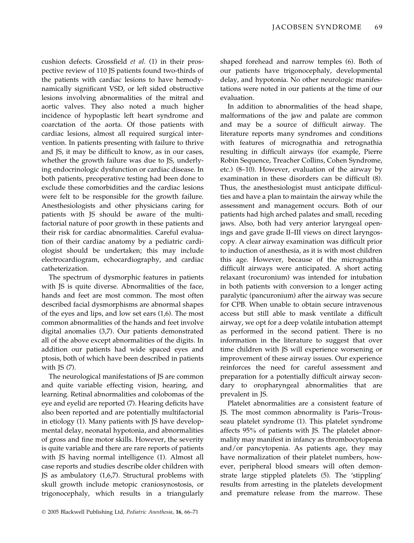cushion defects. Grossfield et al. (1) in their prospective review of 110 JS patients found two-thirds of the patients with cardiac lesions to have hemodynamically significant VSD, or left sided obstructive lesions involving abnormalities of the mitral and aortic valves. They also noted a much higher incidence of hypoplastic left heart syndrome and coarctation of the aorta. Of those patients with cardiac lesions, almost all required surgical intervention. In patients presenting with failure to thrive and JS, it may be difficult to know, as in our cases, whether the growth failure was due to JS, underlying endocrinologic dysfunction or cardiac disease. In both patients, preoperative testing had been done to exclude these comorbidities and the cardiac lesions were felt to be responsible for the growth failure. Anesthesiologists and other physicians caring for patients with JS should be aware of the multifactorial nature of poor growth in these patients and their risk for cardiac abnormalities. Careful evaluation of their cardiac anatomy by a pediatric cardiologist should be undertaken; this may include electrocardiogram, echocardiography, and cardiac catheterization.

The spectrum of dysmorphic features in patients with JS is quite diverse. Abnormalities of the face, hands and feet are most common. The most often described facial dysmorphisms are abnormal shapes of the eyes and lips, and low set ears (1,6). The most common abnormalities of the hands and feet involve digital anomalies (3,7). Our patients demonstrated all of the above except abnormalities of the digits. In addition our patients had wide spaced eyes and ptosis, both of which have been described in patients with  $JS(7)$ .

The neurological manifestations of JS are common and quite variable effecting vision, hearing, and learning. Retinal abnormalities and colobomas of the eye and eyelid are reported (7). Hearing deficits have also been reported and are potentially multifactorial in etiology (1). Many patients with JS have developmental delay, neonatal hypotonia, and abnormalities of gross and fine motor skills. However, the severity is quite variable and there are rare reports of patients with JS having normal intelligence (1). Almost all case reports and studies describe older children with JS as ambulatory (1,6,7). Structural problems with skull growth include metopic craniosynostosis, or trigonocephaly, which results in a triangularly

shaped forehead and narrow temples (6). Both of our patients have trigonocephaly, developmental delay, and hypotonia. No other neurologic manifestations were noted in our patients at the time of our evaluation.

In addition to abnormalities of the head shape, malformations of the jaw and palate are common and may be a source of difficult airway. The literature reports many syndromes and conditions with features of micrognathia and retrognathia resulting in difficult airways (for example, Pierre Robin Sequence, Treacher Collins, Cohen Syndrome, etc.) (8–10). However, evaluation of the airway by examination in these disorders can be difficult (8). Thus, the anesthesiologist must anticipate difficulties and have a plan to maintain the airway while the assessment and management occurs. Both of our patients had high arched palates and small, receding jaws. Also, both had very anterior laryngeal openings and gave grade II–III views on direct laryngoscopy. A clear airway examination was difficult prior to induction of anesthesia, as it is with most children this age. However, because of the micrognathia difficult airways were anticipated. A short acting relaxant (rocuronium) was intended for intubation in both patients with conversion to a longer acting paralytic (pancuronium) after the airway was secure for CPB. When unable to obtain secure intravenous access but still able to mask ventilate a difficult airway, we opt for a deep volatile intubation attempt as performed in the second patient. There is no information in the literature to suggest that over time children with JS will experience worsening or improvement of these airway issues. Our experience reinforces the need for careful assessment and preparation for a potentially difficult airway secondary to oropharyngeal abnormalities that are prevalent in JS.

Platelet abnormalities are a consistent feature of JS. The most common abnormality is Paris–Trousseau platelet syndrome (1). This platelet syndrome affects 95% of patients with JS. The platelet abnormality may manifest in infancy as thrombocytopenia and/or pancytopenia. As patients age, they may have normalization of their platelet numbers, however, peripheral blood smears will often demonstrate large stippled platelets (5). The 'stippling' results from arresting in the platelets development and premature release from the marrow. These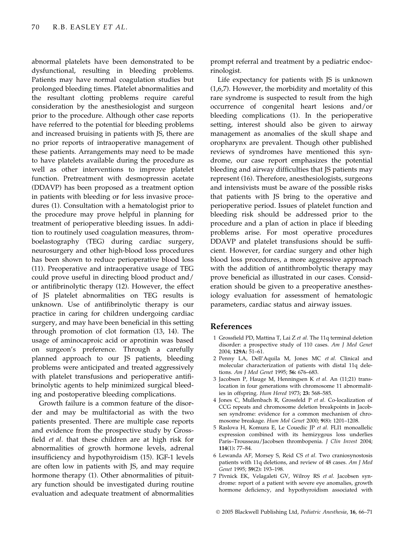abnormal platelets have been demonstrated to be dysfunctional, resulting in bleeding problems. Patients may have normal coagulation studies but prolonged bleeding times. Platelet abnormalities and the resultant clotting problems require careful consideration by the anesthesiologist and surgeon prior to the procedure. Although other case reports have referred to the potential for bleeding problems and increased bruising in patients with JS, there are no prior reports of intraoperative management of these patients. Arrangements may need to be made to have platelets available during the procedure as well as other interventions to improve platelet function. Pretreatment with desmopressin acetate (DDAVP) has been proposed as a treatment option in patients with bleeding or for less invasive procedures (1). Consultation with a hematologist prior to the procedure may prove helpful in planning for treatment of perioperative bleeding issues. In addition to routinely used coagulation measures, thromboelastography (TEG) during cardiac surgery, neurosurgery and other high-blood loss procedures has been shown to reduce perioperative blood loss (11). Preoperative and intraoperative usage of TEG could prove useful in directing blood product and/ or antifibrinolytic therapy (12). However, the effect of JS platelet abnormalities on TEG results is unknown. Use of antifibrinolytic therapy is our practice in caring for children undergoing cardiac surgery, and may have been beneficial in this setting through promotion of clot formation (13, 14). The usage of aminocaproic acid or aprotinin was based on surgeon's preference. Through a carefully planned approach to our JS patients, bleeding problems were anticipated and treated aggressively with platelet transfusions and perioperative antifibrinolytic agents to help minimized surgical bleeding and postoperative bleeding complications.

Growth failure is a common feature of the disorder and may be multifactorial as with the two patients presented. There are multiple case reports and evidence from the prospective study by Grossfield et al. that these children are at high risk for abnormalities of growth hormone levels, adrenal insufficiency and hypothyroidism (15). IGF-1 levels are often low in patients with JS, and may require hormone therapy (1). Other abnormalities of pituitary function should be investigated during routine evaluation and adequate treatment of abnormalities prompt referral and treatment by a pediatric endocrinologist.

Life expectancy for patients with JS is unknown (1,6,7). However, the morbidity and mortality of this rare syndrome is suspected to result from the high occurrence of congenital heart lesions and/or bleeding complications (1). In the perioperative setting, interest should also be given to airway management as anomalies of the skull shape and oropharynx are prevalent. Though other published reviews of syndromes have mentioned this syndrome, our case report emphasizes the potential bleeding and airway difficulties that JS patients may represent (16). Therefore, anesthesiologists, surgeons and intensivists must be aware of the possible risks that patients with JS bring to the operative and perioperative period. Issues of platelet function and bleeding risk should be addressed prior to the procedure and a plan of action in place if bleeding problems arise. For most operative procedures DDAVP and platelet transfusions should be sufficient. However, for cardiac surgery and other high blood loss procedures, a more aggressive approach with the addition of antithrombolytic therapy may prove beneficial as illustrated in our cases. Consideration should be given to a preoperative anesthesiology evaluation for assessment of hematologic parameters, cardiac status and airway issues.

#### References

- 1 Grossfield PD, Mattina T, Lai Z et al. The 11q terminal deletion disorder: a prospective study of 110 cases. Am J Med Genet 2004; 129A: 51–61.
- 2 Penny LA, Dell'Aquila M, Jones MC et al. Clinical and molecular characterization of patients with distal 11q deletions. Am J Med Genet 1995; 56: 676-683.
- 3 Jacobsen P, Hauge M, Henningsen K et al. An (11;21) translocation in four generations with chromosome 11 abnormalities in offspring. Hum Hered 1973; 23: 568–585.
- 4 Jones C, Mullenbach R, Grossfeld P et al. Co-localization of CCG repeats and chromosome deletion breakpoints in Jacobsen syndrome: evidence for a common mechanism of chromosome breakage. Hum Mol Genet 2000; 9(8): 1201–1208.
- 5 Raslova H, Komura E, Le Couedic JP et al. FLI1 monoallelic expression combined with its hemizygous loss underlies Paris–Trousseau/Jacobsen thrombopenia. J Clin Invest 2004; 114(1): 77–84.
- 6 Lewanda AF, Morsey S, Reid CS et al. Two craniosynostosis patients with 11q deletions, and review of 48 cases. Am J Med Genet 1995; 59(2): 193–198.
- 7 Pivnick EK, Velagaleti GV, Wilroy RS et al. Jacobsen syndrome: report of a patient with severe eye anomalies, growth hormone deficiency, and hypothyroidism associated with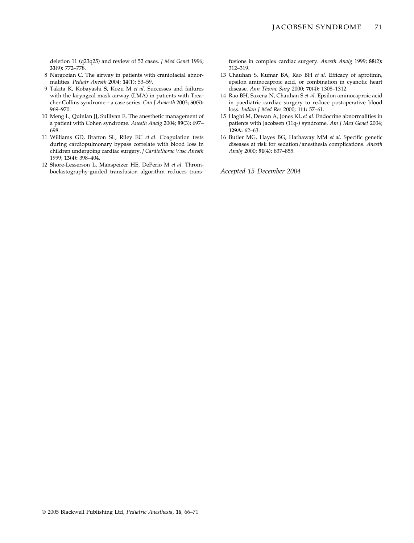deletion 11 (q23q25) and review of 52 cases. J Med Genet 1996; 33(9): 772–778.

- 8 Nargozian C. The airway in patients with craniofacial abnormalities. Pediatr Anesth 2004; 14(1): 53–59.
- 9 Takita K, Kobayashi S, Kozu M et al. Successes and failures with the laryngeal mask airway (LMA) in patients with Treacher Collins syndrome – a case series. Can J Anaesth 2003; 50(9): 969–970.
- 10 Meng L, Quinlan JJ, Sullivan E. The anesthetic management of a patient with Cohen syndrome. Anesth Analg 2004; 99(3): 697– 698.
- 11 Williams GD, Bratton SL, Riley EC et al. Coagulation tests during cardiopulmonary bypass correlate with blood loss in children undergoing cardiac surgery. J Cardiothorac Vasc Anesth 1999; 13(4): 398–404.
- 12 Shore-Lesserson L, Manspeizer HE, DePerio M et al. Thromboelastography-guided transfusion algorithm reduces trans-

fusions in complex cardiac surgery. Anesth Analg 1999; 88(2): 312–319.

- 13 Chauhan S, Kumar BA, Rao BH et al. Efficacy of aprotinin, epsilon aminocaproic acid, or combination in cyanotic heart disease. Ann Thorac Surg 2000; 70(4): 1308–1312.
- 14 Rao BH, Saxena N, Chauhan S et al. Epsilon aminocaproic acid in paediatric cardiac surgery to reduce postoperative blood loss. Indian J Med Res 2000; 111: 57–61.
- 15 Haghi M, Dewan A, Jones KL et al. Endocrine abnormalities in patients with Jacobsen (11q-) syndrome. Am J Med Genet 2004; 129A: 62–63.
- 16 Butler MG, Hayes BG, Hathaway MM et al. Specific genetic diseases at risk for sedation/anesthesia complications. Anesth Analg 2000; 91(4): 837–855.

Accepted 15 December 2004